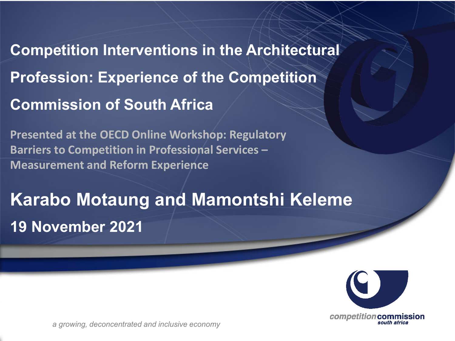**Competition Interventions in the Architectural Profession: Experience of the Competition Commission of South Africa**

**Presented at the OECD Online Workshop: Regulatory Barriers to Competition in Professional Services – Measurement and Reform Experience**

## **Karabo Motaung and Mamontshi Keleme 19 November 2021**



*a growing, deconcentrated and inclusive economy*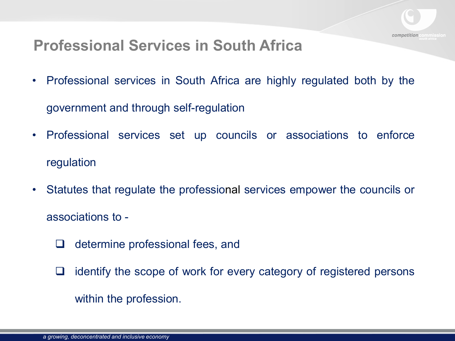#### **Professional Services in South Africa**

• Professional services in South Africa are highly regulated both by the

government and through self-regulation

- Professional services set up councils or associations to enforce regulation
- Statutes that regulate the professional services empower the councils or associations to -
	- $\Box$  determine professional fees, and
	- $\Box$  identify the scope of work for every category of registered persons within the profession.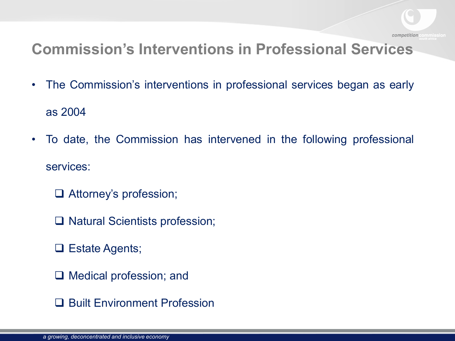

### **Commission's Interventions in Professional Services**

- The Commission's interventions in professional services began as early as 2004
- To date, the Commission has intervened in the following professional services:
	- Attorney's profession;
	- □ Natural Scientists profession;
	- **□ Estate Agents;**
	- $\Box$  Medical profession; and
	- **□ Built Environment Profession**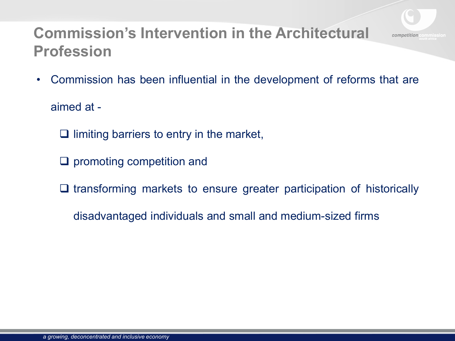# competition

#### **Commission's Intervention in the Architectural Profession**

• Commission has been influential in the development of reforms that are

aimed at -

- $\Box$  limiting barriers to entry in the market,
- $\Box$  promoting competition and
- $\Box$  transforming markets to ensure greater participation of historically
	- disadvantaged individuals and small and medium-sized firms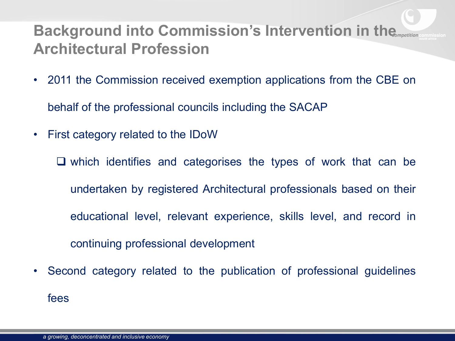#### **Background into Commission's Intervention in the 
<b>Background into Commission's Intervention in the Architectural Profession**

• 2011 the Commission received exemption applications from the CBE on

behalf of the professional councils including the SACAP

• First category related to the IDoW

 $\Box$  which identifies and categorises the types of work that can be undertaken by registered Architectural professionals based on their educational level, relevant experience, skills level, and record in continuing professional development

• Second category related to the publication of professional guidelines fees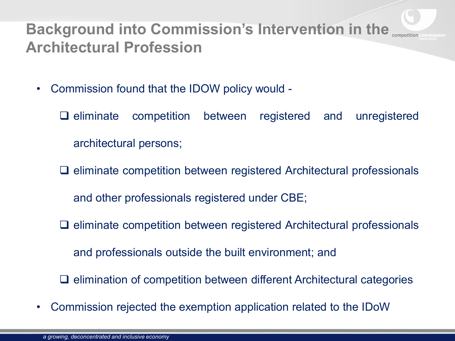#### **Background into Commission's Intervention in the Competity Architectural Profession**

- Commission found that the IDOW policy would
	- $\Box$  eliminate competition between registered and unregistered architectural persons;
	- $\Box$  eliminate competition between registered Architectural professionals and other professionals registered under CBE;
	- $\Box$  eliminate competition between registered Architectural professionals

and professionals outside the built environment; and

- $\Box$  elimination of competition between different Architectural categories
- Commission rejected the exemption application related to the IDoW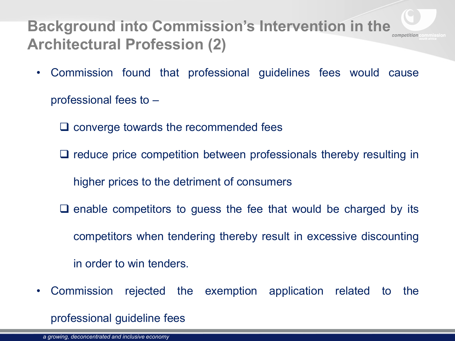#### **Background into Commission's Intervention in the <br>
<sub>***competition***</sub> Architectural Profession (2)**

• Commission found that professional guidelines fees would cause

professional fees to –

- $\Box$  converge towards the recommended fees
- $\Box$  reduce price competition between professionals thereby resulting in

higher prices to the detriment of consumers

- $\Box$  enable competitors to guess the fee that would be charged by its competitors when tendering thereby result in excessive discounting in order to win tenders.
- Commission rejected the exemption application related to the

professional guideline fees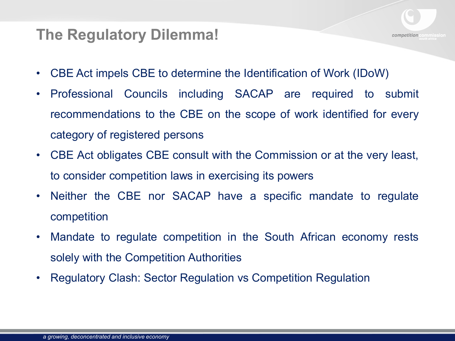#### competition

#### **The Regulatory Dilemma!**

- CBE Act impels CBE to determine the Identification of Work (IDoW)
- Professional Councils including SACAP are required to submit recommendations to the CBE on the scope of work identified for every category of registered persons
- CBE Act obligates CBE consult with the Commission or at the very least, to consider competition laws in exercising its powers
- Neither the CBE nor SACAP have a specific mandate to regulate competition
- Mandate to regulate competition in the South African economy rests solely with the Competition Authorities
- Regulatory Clash: Sector Regulation vs Competition Regulation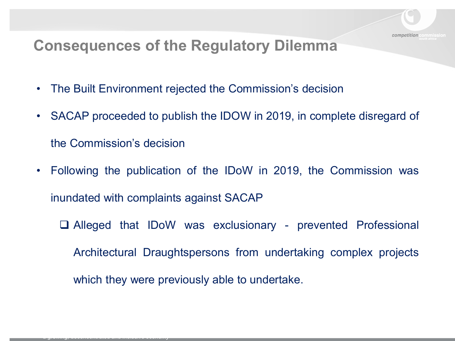

#### **Consequences of the Regulatory Dilemma**

• The Built Environment rejected the Commission's decision

*a growing, deconcentrated and inclusive economy*

- SACAP proceeded to publish the IDOW in 2019, in complete disregard of the Commission's decision
- Following the publication of the IDoW in 2019, the Commission was inundated with complaints against SACAP
	- Alleged that IDoW was exclusionary prevented Professional Architectural Draughtspersons from undertaking complex projects which they were previously able to undertake.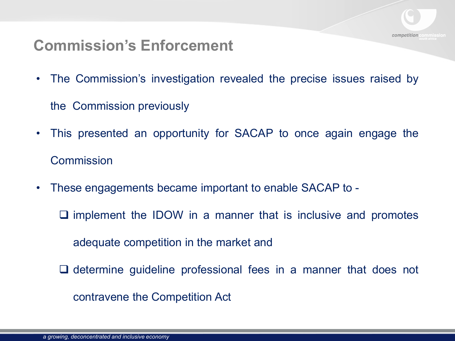

#### **Commission's Enforcement**

• The Commission's investigation revealed the precise issues raised by

the Commission previously

- This presented an opportunity for SACAP to once again engage the **Commission**
- These engagements became important to enable SACAP to
	- $\square$  implement the IDOW in a manner that is inclusive and promotes

adequate competition in the market and

 $\Box$  determine guideline professional fees in a manner that does not contravene the Competition Act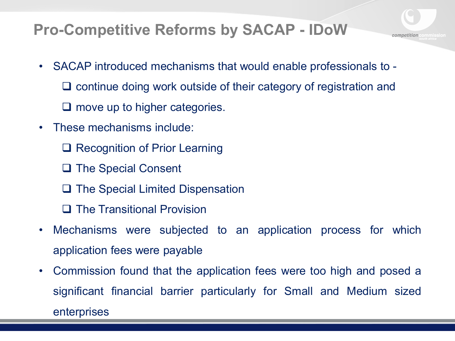#### **Pro-Competitive Reforms by SACAP - IDoW**

- SACAP introduced mechanisms that would enable professionals to
	- $\Box$  continue doing work outside of their category of registration and

competitior

- $\Box$  move up to higher categories.
- These mechanisms include:
	- **□ Recognition of Prior Learning**
	- **□ The Special Consent**
	- $\Box$  The Special Limited Dispensation
	- $\square$  The Transitional Provision
- Mechanisms were subjected to an application process for which application fees were payable
- Commission found that the application fees were too high and posed a significant financial barrier particularly for Small and Medium sized enterprises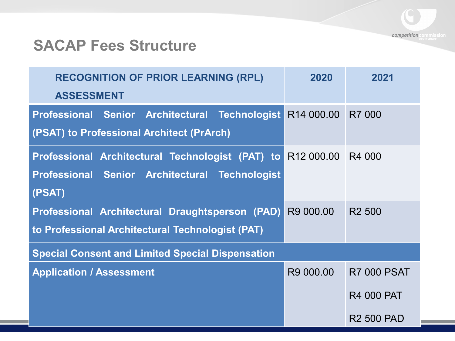

#### **SACAP Fees Structure**

| <b>RECOGNITION OF PRIOR LEARNING (RPL)</b>                         | 2020                   | 2021               |
|--------------------------------------------------------------------|------------------------|--------------------|
| <b>ASSESSMENT</b>                                                  |                        |                    |
| Professional Senior Architectural Technologist                     | R <sub>14</sub> 000.00 | R7 000             |
| (PSAT) to Professional Architect (PrArch)                          |                        |                    |
| Professional Architectural Technologist (PAT) to R12 000.00 R4 000 |                        |                    |
| Professional Senior Architectural Technologist                     |                        |                    |
| (PSAT)                                                             |                        |                    |
| Professional Architectural Draughtsperson (PAD)                    | R9 000.00              | R <sub>2</sub> 500 |
| to Professional Architectural Technologist (PAT)                   |                        |                    |
| <b>Special Consent and Limited Special Dispensation</b>            |                        |                    |
| <b>Application / Assessment</b>                                    | R9 000.00              | <b>R7 000 PSAT</b> |
|                                                                    |                        | <b>R4 000 PAT</b>  |
|                                                                    |                        | <b>R2 500 PAD</b>  |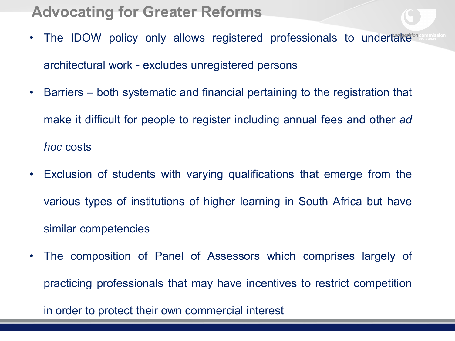#### **Advocating for Greater Reforms**

- The IDOW policy only allows registered professionals to undertake<sup>tion</sup> architectural work - excludes unregistered persons
- Barriers both systematic and financial pertaining to the registration that make it difficult for people to register including annual fees and other *ad hoc* costs
- Exclusion of students with varying qualifications that emerge from the various types of institutions of higher learning in South Africa but have similar competencies
- The composition of Panel of Assessors which comprises largely of practicing professionals that may have incentives to restrict competition

in order to protect their own commercial interest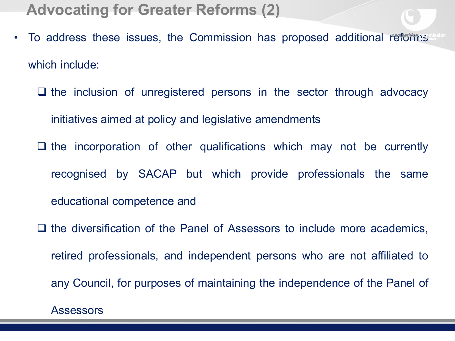**Advocating for Greater Reforms (2)**

- To address these issues, the Commission has proposed additional reforms which include:
	- $\Box$  the inclusion of unregistered persons in the sector through advocacy initiatives aimed at policy and legislative amendments
	- $\Box$  the incorporation of other qualifications which may not be currently recognised by SACAP but which provide professionals the same educational competence and
	- $\Box$  the diversification of the Panel of Assessors to include more academics, retired professionals, and independent persons who are not affiliated to any Council, for purposes of maintaining the independence of the Panel of

Assessors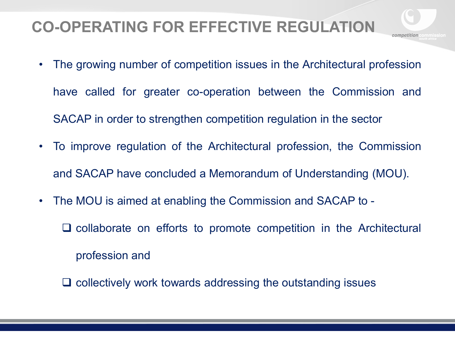#### **CO-OPERATING FOR EFFECTIVE REGULATION**

- The growing number of competition issues in the Architectural profession have called for greater co-operation between the Commission and SACAP in order to strengthen competition regulation in the sector
- To improve regulation of the Architectural profession, the Commission and SACAP have concluded a Memorandum of Understanding (MOU).
- The MOU is aimed at enabling the Commission and SACAP to
	- $\Box$  collaborate on efforts to promote competition in the Architectural profession and
	- $\Box$  collectively work towards addressing the outstanding issues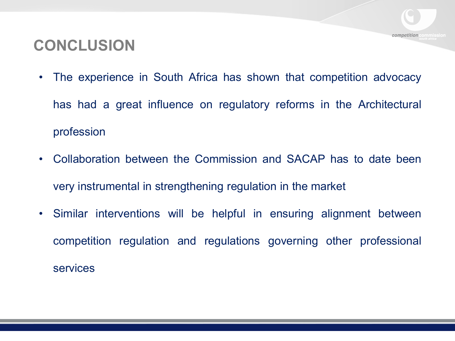#### **CONCLUSION**

• The experience in South Africa has shown that competition advocacy has had a great influence on regulatory reforms in the Architectural profession

competition

- Collaboration between the Commission and SACAP has to date been very instrumental in strengthening regulation in the market
- Similar interventions will be helpful in ensuring alignment between competition regulation and regulations governing other professional services